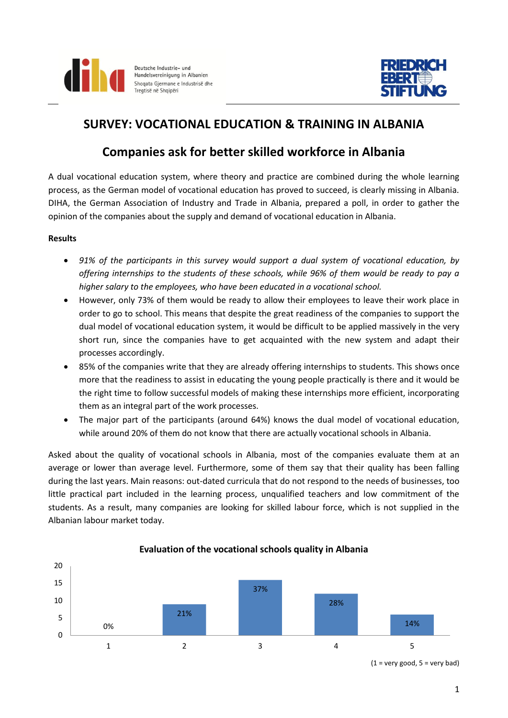



# **SURVEY: VOCATIONAL EDUCATION & TRAINING IN ALBANIA**

## **Companies ask for better skilled workforce in Albania**

A dual vocational education system, where theory and practice are combined during the whole learning process, as the German model of vocational education has proved to succeed, is clearly missing in Albania. DIHA, the German Association of Industry and Trade in Albania, prepared a poll, in order to gather the opinion of the companies about the supply and demand of vocational education in Albania.

### **Results**

- *91% of the participants in this survey would support a dual system of vocational education, by offering internships to the students of these schools, while 96% of them would be ready to pay a higher salary to the employees, who have been educated in a vocational school.*
- However, only 73% of them would be ready to allow their employees to leave their work place in order to go to school. This means that despite the great readiness of the companies to support the dual model of vocational education system, it would be difficult to be applied massively in the very short run, since the companies have to get acquainted with the new system and adapt their processes accordingly.
- 85% of the companies write that they are already offering internships to students. This shows once more that the readiness to assist in educating the young people practically is there and it would be the right time to follow successful models of making these internships more efficient, incorporating them as an integral part of the work processes.
- The major part of the participants (around 64%) knows the dual model of vocational education, while around 20% of them do not know that there are actually vocational schools in Albania.

Asked about the quality of vocational schools in Albania, most of the companies evaluate them at an average or lower than average level. Furthermore, some of them say that their quality has been falling during the last years. Main reasons: out-dated curricula that do not respond to the needs of businesses, too little practical part included in the learning process, unqualified teachers and low commitment of the students. As a result, many companies are looking for skilled labour force, which is not supplied in the Albanian labour market today.



### **Evaluation of the vocational schools quality in Albania**

 $(1 = \text{very good}, 5 = \text{very bad})$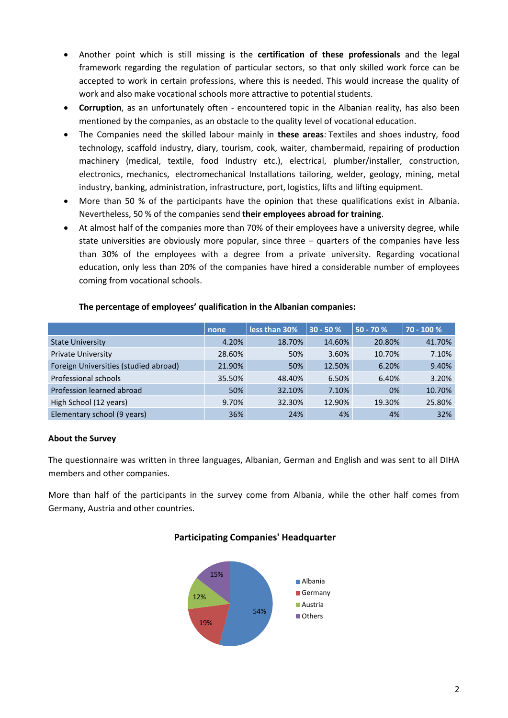- Another point which is still missing is the **certification of these professionals** and the legal framework regarding the regulation of particular sectors, so that only skilled work force can be accepted to work in certain professions, where this is needed. This would increase the quality of work and also make vocational schools more attractive to potential students.
- **Corruption**, as an unfortunately often encountered topic in the Albanian reality, has also been mentioned by the companies, as an obstacle to the quality level of vocational education.
- The Companies need the skilled labour mainly in **these areas**: Textiles and shoes industry, food technology, scaffold industry, diary, tourism, cook, waiter, chambermaid, repairing of production machinery (medical, textile, food Industry etc.), electrical, plumber/installer, construction, electronics, mechanics, electromechanical Installations tailoring, welder, geology, mining, metal industry, banking, administration, infrastructure, port, logistics, lifts and lifting equipment.
- More than 50 % of the participants have the opinion that these qualifications exist in Albania. Nevertheless, 50 % of the companies send **their employees abroad for training**.
- At almost half of the companies more than 70% of their employees have a university degree, while state universities are obviously more popular, since three – quarters of the companies have less than 30% of the employees with a degree from a private university. Regarding vocational education, only less than 20% of the companies have hired a considerable number of employees coming from vocational schools.

|                                       | none   | less than 30% | $30 - 50%$ | $50 - 70 %$ | 70 - 100 % |
|---------------------------------------|--------|---------------|------------|-------------|------------|
| <b>State University</b>               | 4.20%  | 18.70%        | 14.60%     | 20.80%      | 41.70%     |
| <b>Private University</b>             | 28.60% | 50%           | 3.60%      | 10.70%      | 7.10%      |
| Foreign Universities (studied abroad) | 21.90% | 50%           | 12.50%     | 6.20%       | 9.40%      |
| Professional schools                  | 35.50% | 48.40%        | 6.50%      | 6.40%       | 3.20%      |
| Profession learned abroad             | 50%    | 32.10%        | 7.10%      | 0%          | 10.70%     |
| High School (12 years)                | 9.70%  | 32.30%        | 12.90%     | 19.30%      | 25.80%     |
| Elementary school (9 years)           | 36%    | 24%           | 4%         | 4%          | 32%        |

#### **The percentage of employees' qualification in the Albanian companies:**

### **About the Survey**

The questionnaire was written in three languages, Albanian, German and English and was sent to all DIHA members and other companies.

More than half of the participants in the survey come from Albania, while the other half comes from Germany, Austria and other countries.



### **Participating Companies' Headquarter**